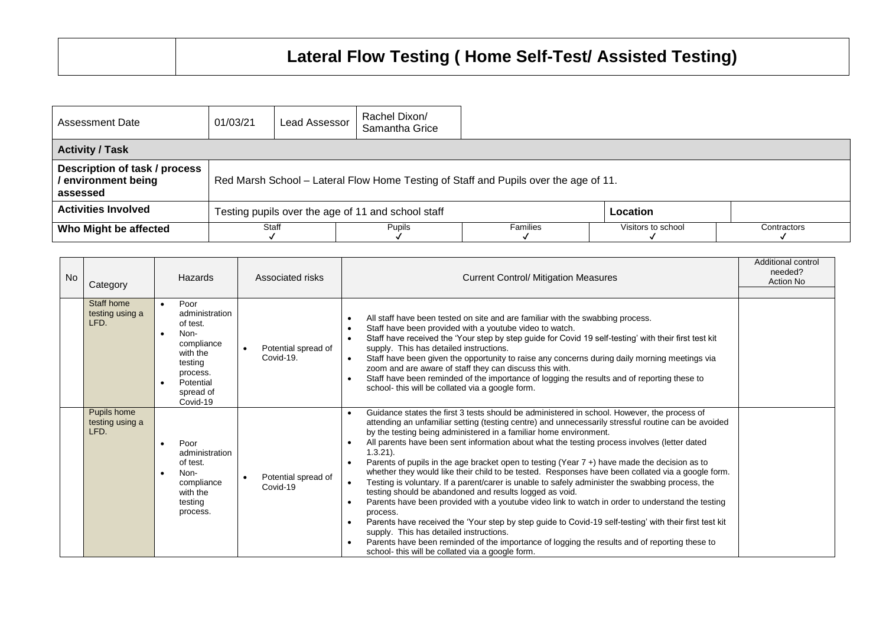| Assessment Date                                                  | 01/03/21                                                                             | Lead Assessor                                                  | Rachel Dixon/<br>Samantha Grice |          |                    |             |  |  |  |
|------------------------------------------------------------------|--------------------------------------------------------------------------------------|----------------------------------------------------------------|---------------------------------|----------|--------------------|-------------|--|--|--|
| <b>Activity / Task</b>                                           |                                                                                      |                                                                |                                 |          |                    |             |  |  |  |
| Description of task / process<br>/ environment being<br>assessed | Red Marsh School – Lateral Flow Home Testing of Staff and Pupils over the age of 11. |                                                                |                                 |          |                    |             |  |  |  |
| <b>Activities Involved</b>                                       |                                                                                      | Testing pupils over the age of 11 and school staff<br>Location |                                 |          |                    |             |  |  |  |
| Who Might be affected                                            | Staff                                                                                |                                                                | <b>Pupils</b>                   | Families | Visitors to school | Contractors |  |  |  |

| <b>No</b><br>Category                  | Hazards                                                                                                                           | Associated risks                 | <b>Current Control/ Mitigation Measures</b>                                                                                                                                                                                                                                                                                                                                                                                                                                                                                                                                                                                                                                                                                                                                                                                                                                                                                                                                                                                                                                                                                                                                                                                                          | Additional control<br>needed?<br>Action No |
|----------------------------------------|-----------------------------------------------------------------------------------------------------------------------------------|----------------------------------|------------------------------------------------------------------------------------------------------------------------------------------------------------------------------------------------------------------------------------------------------------------------------------------------------------------------------------------------------------------------------------------------------------------------------------------------------------------------------------------------------------------------------------------------------------------------------------------------------------------------------------------------------------------------------------------------------------------------------------------------------------------------------------------------------------------------------------------------------------------------------------------------------------------------------------------------------------------------------------------------------------------------------------------------------------------------------------------------------------------------------------------------------------------------------------------------------------------------------------------------------|--------------------------------------------|
| Staff home<br>testing using a<br>LFD.  | Poor<br>administration<br>of test.<br>Non-<br>compliance<br>with the<br>testing<br>process.<br>Potential<br>spread of<br>Covid-19 | Potential spread of<br>Covid-19. | All staff have been tested on site and are familiar with the swabbing process.<br>Staff have been provided with a youtube video to watch.<br>Staff have received the 'Your step by step guide for Covid 19 self-testing' with their first test kit<br>$\bullet$<br>supply. This has detailed instructions.<br>Staff have been given the opportunity to raise any concerns during daily morning meetings via<br>$\bullet$<br>zoom and are aware of staff they can discuss this with.<br>Staff have been reminded of the importance of logging the results and of reporting these to<br>$\bullet$<br>school- this will be collated via a google form.                                                                                                                                                                                                                                                                                                                                                                                                                                                                                                                                                                                                  |                                            |
| Pupils home<br>testing using a<br>LFD. | Poor<br>administration<br>of test.<br>Non-<br>compliance<br>with the<br>testing<br>process.                                       | Potential spread of<br>Covid-19  | Guidance states the first 3 tests should be administered in school. However, the process of<br>$\bullet$<br>attending an unfamiliar setting (testing centre) and unnecessarily stressful routine can be avoided<br>by the testing being administered in a familiar home environment.<br>All parents have been sent information about what the testing process involves (letter dated<br>$1.3.21$ ).<br>Parents of pupils in the age bracket open to testing (Year 7+) have made the decision as to<br>$\bullet$<br>whether they would like their child to be tested. Responses have been collated via a google form.<br>Testing is voluntary. If a parent/carer is unable to safely administer the swabbing process, the<br>$\bullet$<br>testing should be abandoned and results logged as void.<br>Parents have been provided with a youtube video link to watch in order to understand the testing<br>$\bullet$<br>process.<br>Parents have received the 'Your step by step guide to Covid-19 self-testing' with their first test kit<br>$\bullet$<br>supply. This has detailed instructions.<br>Parents have been reminded of the importance of logging the results and of reporting these to<br>school- this will be collated via a google form. |                                            |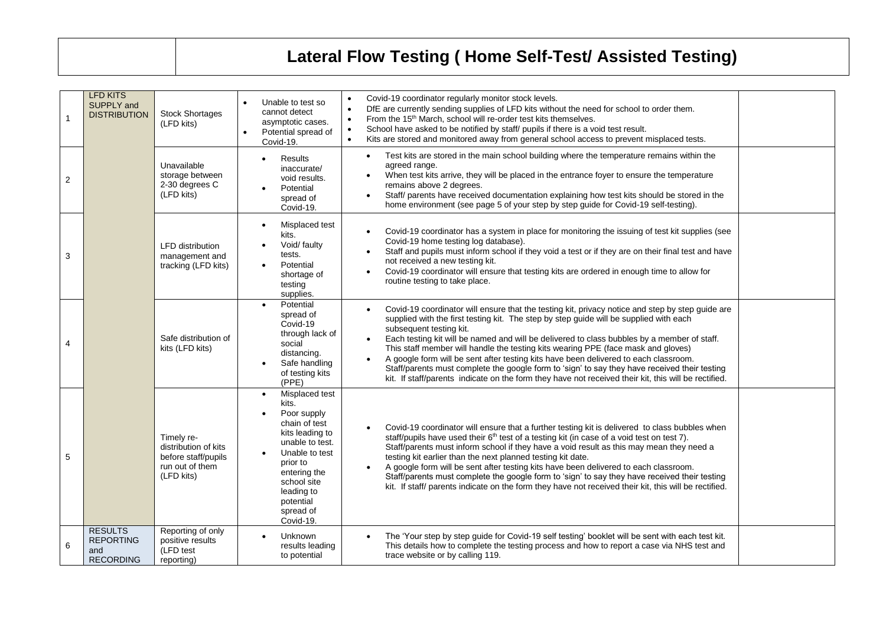## **Lateral Flow Testing ( Home Self-Test/ Assisted Testing)**

|   | <b>LFD KITS</b><br>SUPPLY and<br><b>DISTRIBUTION</b>          | <b>Stock Shortages</b><br>(LFD kits)                                                       | Unable to test so<br>cannot detect<br>asymptotic cases.<br>Potential spread of<br>$\bullet$<br>Covid-19.                                                                                                                     | Covid-19 coordinator regularly monitor stock levels.<br>$\bullet$<br>DfE are currently sending supplies of LFD kits without the need for school to order them.<br>$\bullet$<br>From the 15 <sup>th</sup> March, school will re-order test kits themselves.<br>$\bullet$<br>School have asked to be notified by staff/ pupils if there is a void test result.<br>Kits are stored and monitored away from general school access to prevent misplaced tests.<br>$\bullet$                                                                                                                                                                                                                                     |  |
|---|---------------------------------------------------------------|--------------------------------------------------------------------------------------------|------------------------------------------------------------------------------------------------------------------------------------------------------------------------------------------------------------------------------|------------------------------------------------------------------------------------------------------------------------------------------------------------------------------------------------------------------------------------------------------------------------------------------------------------------------------------------------------------------------------------------------------------------------------------------------------------------------------------------------------------------------------------------------------------------------------------------------------------------------------------------------------------------------------------------------------------|--|
| 2 |                                                               | Unavailable<br>storage between<br>2-30 degrees C<br>(LFD kits)                             | <b>Results</b><br>$\bullet$<br>inaccurate/<br>void results.<br>Potential<br>spread of<br>Covid-19.                                                                                                                           | Test kits are stored in the main school building where the temperature remains within the<br>agreed range.<br>When test kits arrive, they will be placed in the entrance foyer to ensure the temperature<br>remains above 2 degrees.<br>Staff/ parents have received documentation explaining how test kits should be stored in the<br>home environment (see page 5 of your step by step guide for Covid-19 self-testing).                                                                                                                                                                                                                                                                                 |  |
| 3 |                                                               | <b>LFD</b> distribution<br>management and<br>tracking (LFD kits)                           | Misplaced test<br>$\bullet$<br>kits.<br>Void/ faulty<br>tests.<br>Potential<br>shortage of<br>testing<br>supplies.                                                                                                           | Covid-19 coordinator has a system in place for monitoring the issuing of test kit supplies (see<br>Covid-19 home testing log database).<br>Staff and pupils must inform school if they void a test or if they are on their final test and have<br>not received a new testing kit.<br>Covid-19 coordinator will ensure that testing kits are ordered in enough time to allow for<br>routine testing to take place.                                                                                                                                                                                                                                                                                          |  |
| 4 |                                                               | Safe distribution of<br>kits (LFD kits)                                                    | Potential<br>spread of<br>Covid-19<br>through lack of<br>social<br>distancing.<br>Safe handling<br>of testing kits<br>(PPE)                                                                                                  | Covid-19 coordinator will ensure that the testing kit, privacy notice and step by step guide are<br>supplied with the first testing kit. The step by step guide will be supplied with each<br>subsequent testing kit.<br>Each testing kit will be named and will be delivered to class bubbles by a member of staff.<br>This staff member will handle the testing kits wearing PPE (face mask and gloves)<br>A google form will be sent after testing kits have been delivered to each classroom.<br>Staff/parents must complete the google form to 'sign' to say they have received their testing<br>kit. If staff/parents indicate on the form they have not received their kit, this will be rectified. |  |
| 5 |                                                               | Timely re-<br>distribution of kits<br>before staff/pupils<br>run out of them<br>(LFD kits) | Misplaced test<br>$\bullet$<br>kits.<br>Poor supply<br>chain of test<br>kits leading to<br>unable to test.<br>Unable to test<br>prior to<br>entering the<br>school site<br>leading to<br>potential<br>spread of<br>Covid-19. | Covid-19 coordinator will ensure that a further testing kit is delivered to class bubbles when<br>staff/pupils have used their 6 <sup>th</sup> test of a testing kit (in case of a void test on test 7).<br>Staff/parents must inform school if they have a void result as this may mean they need a<br>testing kit earlier than the next planned testing kit date.<br>A google form will be sent after testing kits have been delivered to each classroom.<br>Staff/parents must complete the google form to 'sign' to say they have received their testing<br>kit. If staff/ parents indicate on the form they have not received their kit, this will be rectified.                                      |  |
| 6 | <b>RESULTS</b><br><b>REPORTING</b><br>and<br><b>RECORDING</b> | Reporting of only<br>positive results<br>(LFD test<br>reporting)                           | <b>Unknown</b><br>results leading<br>to potential                                                                                                                                                                            | The 'Your step by step guide for Covid-19 self testing' booklet will be sent with each test kit.<br>This details how to complete the testing process and how to report a case via NHS test and<br>trace website or by calling 119.                                                                                                                                                                                                                                                                                                                                                                                                                                                                         |  |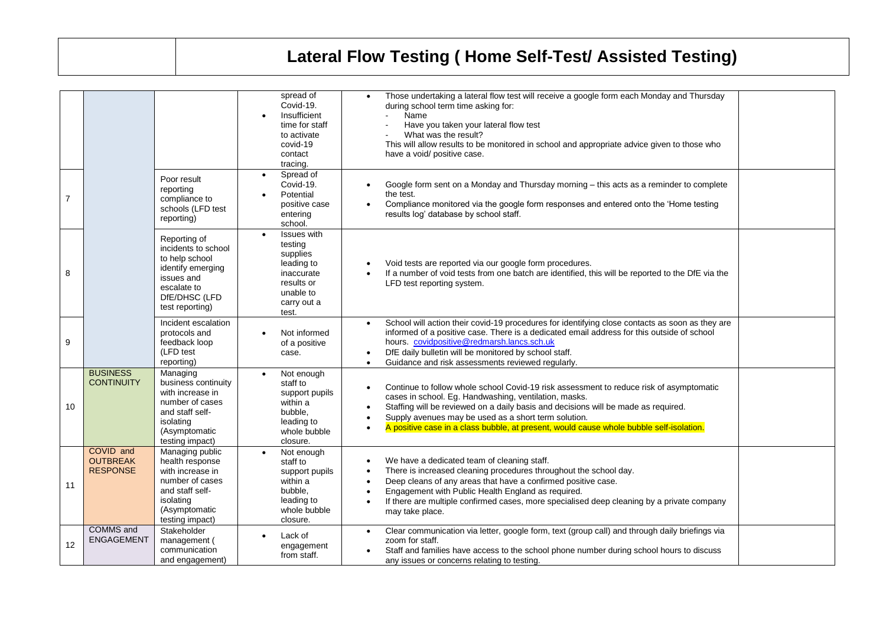## **Lateral Flow Testing ( Home Self-Test/ Assisted Testing)**

|                |                                                 |                                                                                                                                               | spread of<br>Covid-19.<br>Insufficient<br>time for staff<br>to activate<br>covid-19<br>contact<br>tracing.        | Those undertaking a lateral flow test will receive a google form each Monday and Thursday<br>during school term time asking for:<br>Name<br>Have you taken your lateral flow test<br>What was the result?<br>This will allow results to be monitored in school and appropriate advice given to those who<br>have a void/ positive case.                                                   |  |
|----------------|-------------------------------------------------|-----------------------------------------------------------------------------------------------------------------------------------------------|-------------------------------------------------------------------------------------------------------------------|-------------------------------------------------------------------------------------------------------------------------------------------------------------------------------------------------------------------------------------------------------------------------------------------------------------------------------------------------------------------------------------------|--|
| $\overline{7}$ |                                                 | Poor result<br>reporting<br>compliance to<br>schools (LFD test<br>reporting)                                                                  | Spread of<br>$\bullet$<br>Covid-19.<br>Potential<br>positive case<br>entering<br>school.                          | Google form sent on a Monday and Thursday morning - this acts as a reminder to complete<br>the test.<br>Compliance monitored via the google form responses and entered onto the 'Home testing<br>results log' database by school staff.                                                                                                                                                   |  |
| 8              |                                                 | Reporting of<br>incidents to school<br>to help school<br>identify emerging<br>issues and<br>escalate to<br>DfE/DHSC (LFD<br>test reporting)   | Issues with<br>testing<br>supplies<br>leading to<br>inaccurate<br>results or<br>unable to<br>carry out a<br>test. | Void tests are reported via our google form procedures.<br>If a number of void tests from one batch are identified, this will be reported to the DfE via the<br>LFD test reporting system.                                                                                                                                                                                                |  |
| 9              |                                                 | Incident escalation<br>protocols and<br>feedback loop<br>(LFD test<br>reporting)                                                              | Not informed<br>of a positive<br>case.                                                                            | School will action their covid-19 procedures for identifying close contacts as soon as they are<br>informed of a positive case. There is a dedicated email address for this outside of school<br>hours. covidpositive@redmarsh.lancs.sch.uk<br>DfE daily bulletin will be monitored by school staff.<br>Guidance and risk assessments reviewed regularly.                                 |  |
| 10             | <b>BUSINESS</b><br><b>CONTINUITY</b>            | Managing<br>business continuity<br>with increase in<br>number of cases<br>and staff self-<br>isolating<br>(Asymptomatic<br>testing impact)    | Not enough<br>staff to<br>support pupils<br>within a<br>bubble.<br>leading to<br>whole bubble<br>closure.         | Continue to follow whole school Covid-19 risk assessment to reduce risk of asymptomatic<br>cases in school. Eg. Handwashing, ventilation, masks.<br>Staffing will be reviewed on a daily basis and decisions will be made as required.<br>Supply avenues may be used as a short term solution.<br>A positive case in a class bubble, at present, would cause whole bubble self-isolation. |  |
| 11             | COVID and<br><b>OUTBREAK</b><br><b>RESPONSE</b> | Managing public<br>health response<br>with increase in<br>number of cases<br>and staff self-<br>isolating<br>(Asymptomatic<br>testing impact) | Not enough<br>staff to<br>support pupils<br>within a<br>bubble,<br>leading to<br>whole bubble<br>closure.         | We have a dedicated team of cleaning staff.<br>There is increased cleaning procedures throughout the school day.<br>Deep cleans of any areas that have a confirmed positive case.<br>Engagement with Public Health England as required.<br>If there are multiple confirmed cases, more specialised deep cleaning by a private company<br>may take place.                                  |  |
| 12             | <b>COMMS</b> and<br><b>ENGAGEMENT</b>           | Stakeholder<br>management (<br>communication<br>and engagement)                                                                               | Lack of<br>engagement<br>from staff.                                                                              | Clear communication via letter, google form, text (group call) and through daily briefings via<br>zoom for staff.<br>Staff and families have access to the school phone number during school hours to discuss<br>any issues or concerns relating to testing.                                                                                                                              |  |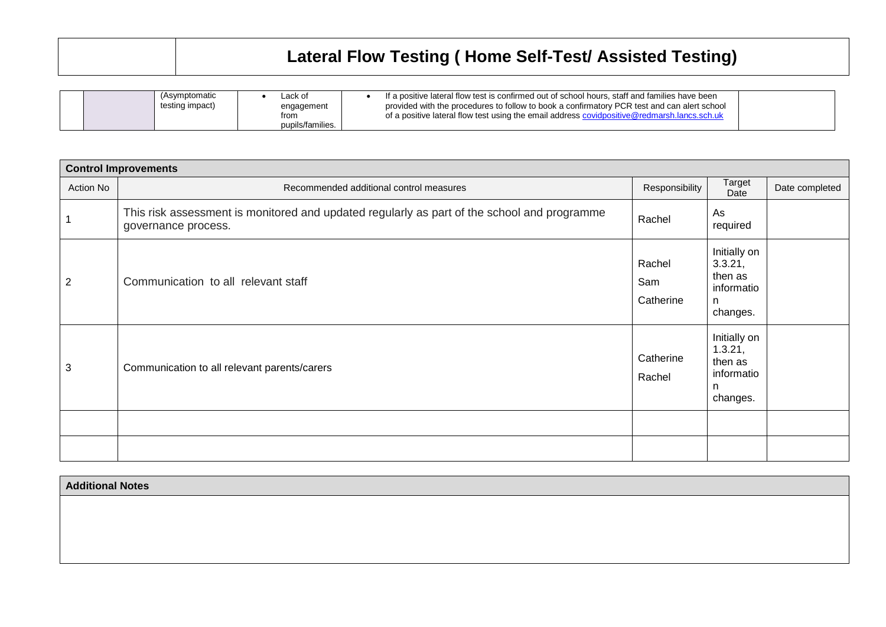| Lateral Flow Testing (Home Self-Test/ Assisted Testing) |
|---------------------------------------------------------|
|                                                         |

| (Asymptomatic<br>testing impact) | ∟ack of<br>engagement<br>from<br>pupils/families. | If a positive lateral flow test is confirmed out of school hours, staff and families have been<br>provided with the procedures to follow to book a confirmatory PCR test and can alert school<br>of a positive lateral flow test using the email address covidpositive@redmarsh.lancs.sch.uk |  |
|----------------------------------|---------------------------------------------------|----------------------------------------------------------------------------------------------------------------------------------------------------------------------------------------------------------------------------------------------------------------------------------------------|--|
|                                  |                                                   |                                                                                                                                                                                                                                                                                              |  |

| <b>Control Improvements</b> |                                                                                                                    |                            |                                                                   |                |  |  |  |
|-----------------------------|--------------------------------------------------------------------------------------------------------------------|----------------------------|-------------------------------------------------------------------|----------------|--|--|--|
| Action No                   | Recommended additional control measures                                                                            | Responsibility             | Target<br>Date                                                    | Date completed |  |  |  |
|                             | This risk assessment is monitored and updated regularly as part of the school and programme<br>governance process. | Rachel                     | As<br>required                                                    |                |  |  |  |
| $\overline{2}$              | Communication to all relevant staff                                                                                | Rachel<br>Sam<br>Catherine | Initially on<br>3.3.21,<br>then as<br>informatio<br>n<br>changes. |                |  |  |  |
| 3                           | Communication to all relevant parents/carers                                                                       | Catherine<br>Rachel        | Initially on<br>1.3.21,<br>then as<br>informatio<br>n<br>changes. |                |  |  |  |
|                             |                                                                                                                    |                            |                                                                   |                |  |  |  |
|                             |                                                                                                                    |                            |                                                                   |                |  |  |  |

**Additional Notes**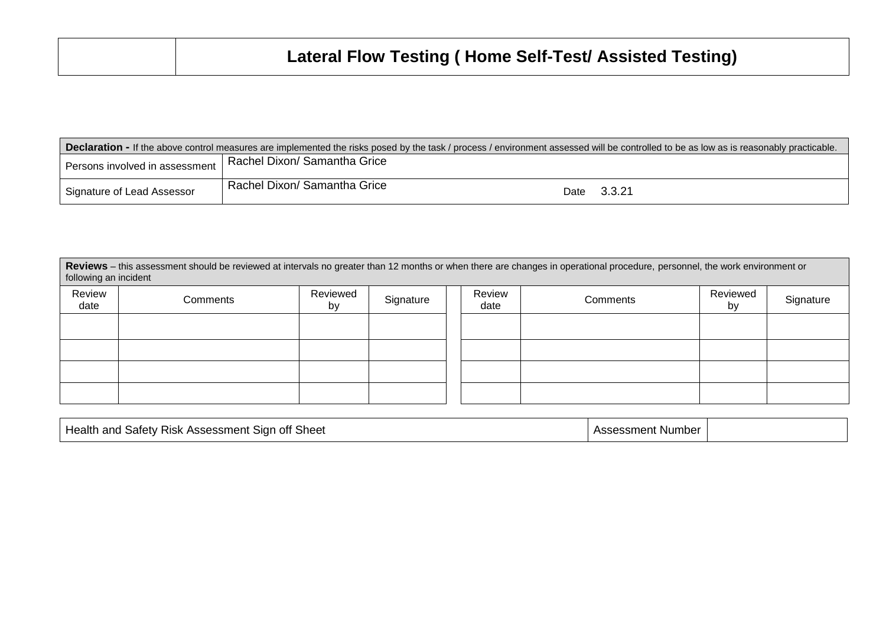| <b>Declaration -</b> If the above control measures are implemented the risks posed by the task / process / environment assessed will be controlled to be as low as is reasonably practicable. |                                |  |             |  |  |  |  |
|-----------------------------------------------------------------------------------------------------------------------------------------------------------------------------------------------|--------------------------------|--|-------------|--|--|--|--|
| Persons involved in assessment                                                                                                                                                                | I Rachel Dixon/ Samantha Grice |  |             |  |  |  |  |
| Signature of Lead Assessor                                                                                                                                                                    | Rachel Dixon/ Samantha Grice   |  | Date 3.3.21 |  |  |  |  |

| Reviews - this assessment should be reviewed at intervals no greater than 12 months or when there are changes in operational procedure, personnel, the work environment or<br>following an incident |          |                |           |  |                |          |                |           |
|-----------------------------------------------------------------------------------------------------------------------------------------------------------------------------------------------------|----------|----------------|-----------|--|----------------|----------|----------------|-----------|
| Review<br>date                                                                                                                                                                                      | Comments | Reviewed<br>by | Signature |  | Review<br>date | Comments | Reviewed<br>by | Signature |
|                                                                                                                                                                                                     |          |                |           |  |                |          |                |           |
|                                                                                                                                                                                                     |          |                |           |  |                |          |                |           |
|                                                                                                                                                                                                     |          |                |           |  |                |          |                |           |
|                                                                                                                                                                                                     |          |                |           |  |                |          |                |           |